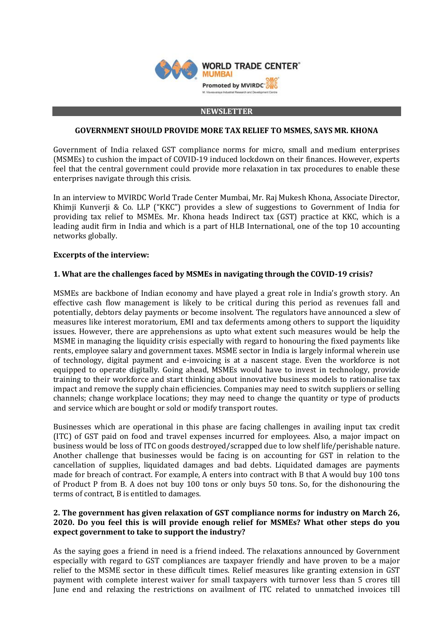

#### **NEWSLETTER**

### **GOVERNMENT SHOULD PROVIDE MORE TAX RELIEF TO MSMES, SAYS MR. KHONA**

Government of India relaxed GST compliance norms for micro, small and medium enterprises (MSMEs) to cushion the impact of COVID-19 induced lockdown on their finances. However, experts feel that the central government could provide more relaxation in tax procedures to enable these enterprises navigate through this crisis.

In an interview to MVIRDC World Trade Center Mumbai, Mr. Raj Mukesh Khona, Associate Director, Khimji Kunverji & Co. LLP ("KKC") provides a slew of suggestions to Government of India for providing tax relief to MSMEs. Mr. Khona heads Indirect tax (GST) practice at KKC, which is a leading audit firm in India and which is a part of HLB International, one of the top 10 accounting networks globally.

### **Excerpts of the interview:**

### **1. What are the challenges faced by MSMEs in navigating through the COVID-19 crisis?**

MSMEs are backbone of Indian economy and have played a great role in India's growth story. An effective cash flow management is likely to be critical during this period as revenues fall and potentially, debtors delay payments or become insolvent. The regulators have announced a slew of measures like interest moratorium, EMI and tax deferments among others to support the liquidity issues. However, there are apprehensions as upto what extent such measures would be help the MSME in managing the liquidity crisis especially with regard to honouring the fixed payments like rents, employee salary and government taxes. MSME sector in India is largely informal wherein use of technology, digital payment and e-invoicing is at a nascent stage. Even the workforce is not equipped to operate digitally. Going ahead, MSMEs would have to invest in technology, provide training to their workforce and start thinking about innovative business models to rationalise tax impact and remove the supply chain efficiencies. Companies may need to switch suppliers or selling channels; change workplace locations; they may need to change the quantity or type of products and service which are bought or sold or modify transport routes.

Businesses which are operational in this phase are facing challenges in availing input tax credit (ITC) of GST paid on food and travel expenses incurred for employees. Also, a major impact on business would be loss of ITC on goods destroyed/scrapped due to low shelf life/perishable nature. Another challenge that businesses would be facing is on accounting for GST in relation to the cancellation of supplies, liquidated damages and bad debts. Liquidated damages are payments made for breach of contract. For example, A enters into contract with B that A would buy 100 tons of Product P from B. A does not buy 100 tons or only buys 50 tons. So, for the dishonouring the terms of contract, B is entitled to damages.

# **2. The government has given relaxation of GST compliance norms for industry on March 26, 2020. Do you feel this is will provide enough relief for MSMEs? What other steps do you expect government to take to support the industry?**

As the saying goes a friend in need is a friend indeed. The relaxations announced by Government especially with regard to GST compliances are taxpayer friendly and have proven to be a major relief to the MSME sector in these difficult times. Relief measures like granting extension in GST payment with complete interest waiver for small taxpayers with turnover less than 5 crores till June end and relaxing the restrictions on availment of ITC related to unmatched invoices till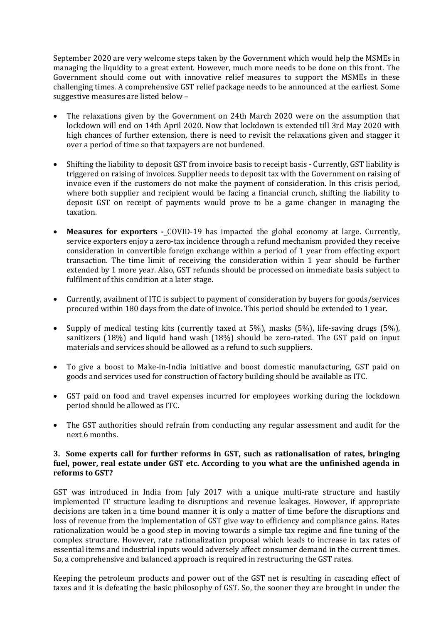September 2020 are very welcome steps taken by the Government which would help the MSMEs in managing the liquidity to a great extent. However, much more needs to be done on this front. The Government should come out with innovative relief measures to support the MSMEs in these challenging times. A comprehensive GST relief package needs to be announced at the earliest. Some suggestive measures are listed below –

- The relaxations given by the Government on 24th March 2020 were on the assumption that lockdown will end on 14th April 2020. Now that lockdown is extended till 3rd May 2020 with high chances of further extension, there is need to revisit the relaxations given and stagger it over a period of time so that taxpayers are not burdened.
- Shifting the liability to deposit GST from invoice basis to receipt basis Currently, GST liability is triggered on raising of invoices. Supplier needs to deposit tax with the Government on raising of invoice even if the customers do not make the payment of consideration. In this crisis period, where both supplier and recipient would be facing a financial crunch, shifting the liability to deposit GST on receipt of payments would prove to be a game changer in managing the taxation.
- **Measures for exporters -** COVID-19 has impacted the global economy at large. Currently, service exporters enjoy a zero-tax incidence through a refund mechanism provided they receive consideration in convertible foreign exchange within a period of 1 year from effecting export transaction. The time limit of receiving the consideration within 1 year should be further extended by 1 more year. Also, GST refunds should be processed on immediate basis subject to fulfilment of this condition at a later stage.
- Currently, availment of ITC is subject to payment of consideration by buyers for goods/services procured within 180 days from the date of invoice. This period should be extended to 1 year.
- Supply of medical testing kits (currently taxed at 5%), masks (5%), life-saving drugs (5%), sanitizers (18%) and liquid hand wash (18%) should be zero-rated. The GST paid on input materials and services should be allowed as a refund to such suppliers.
- To give a boost to Make-in-India initiative and boost domestic manufacturing, GST paid on goods and services used for construction of factory building should be available as ITC.
- GST paid on food and travel expenses incurred for employees working during the lockdown period should be allowed as ITC.
- The GST authorities should refrain from conducting any regular assessment and audit for the next 6 months.

# **3. Some experts call for further reforms in GST, such as rationalisation of rates, bringing fuel, power, real estate under GST etc. According to you what are the unfinished agenda in reforms to GST?**

GST was introduced in India from July 2017 with a unique multi-rate structure and hastily implemented IT structure leading to disruptions and revenue leakages. However, if appropriate decisions are taken in a time bound manner it is only a matter of time before the disruptions and loss of revenue from the implementation of GST give way to efficiency and compliance gains. Rates rationalization would be a good step in moving towards a simple tax regime and fine tuning of the complex structure. However, rate rationalization proposal which leads to increase in tax rates of essential items and industrial inputs would adversely affect consumer demand in the current times. So, a comprehensive and balanced approach is required in restructuring the GST rates.

Keeping the petroleum products and power out of the GST net is resulting in cascading effect of taxes and it is defeating the basic philosophy of GST. So, the sooner they are brought in under the